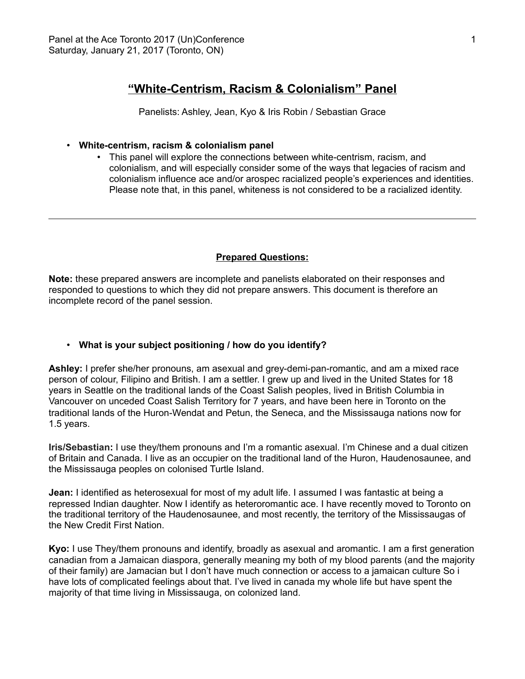# **"White-Centrism, Racism & Colonialism" Panel**

Panelists: Ashley, Jean, Kyo & Iris Robin / Sebastian Grace

### • **White-centrism, racism & colonialism panel**

• This panel will explore the connections between white-centrism, racism, and colonialism, and will especially consider some of the ways that legacies of racism and colonialism influence ace and/or arospec racialized people's experiences and identities. Please note that, in this panel, whiteness is not considered to be a racialized identity.

#### **Prepared Questions:**

**Note:** these prepared answers are incomplete and panelists elaborated on their responses and responded to questions to which they did not prepare answers. This document is therefore an incomplete record of the panel session.

### • **What is your subject positioning / how do you identify?**

**Ashley:** I prefer she/her pronouns, am asexual and grey-demi-pan-romantic, and am a mixed race person of colour, Filipino and British. I am a settler. I grew up and lived in the United States for 18 years in Seattle on the traditional lands of the Coast Salish peoples, lived in British Columbia in Vancouver on unceded Coast Salish Territory for 7 years, and have been here in Toronto on the traditional lands of the Huron-Wendat and Petun, the Seneca, and the Mississauga nations now for 1.5 years.

**Iris/Sebastian:** I use they/them pronouns and I'm a romantic asexual. I'm Chinese and a dual citizen of Britain and Canada. I live as an occupier on the traditional land of the Huron, Haudenosaunee, and the Mississauga peoples on colonised Turtle Island.

**Jean:** I identified as heterosexual for most of my adult life. I assumed I was fantastic at being a repressed Indian daughter. Now I identify as heteroromantic ace. I have recently moved to Toronto on the traditional territory of the Haudenosaunee, and most recently, the territory of the Mississaugas of the New Credit First Nation.

**Kyo:** I use They/them pronouns and identify, broadly as asexual and aromantic. I am a first generation canadian from a Jamaican diaspora, generally meaning my both of my blood parents (and the majority of their family) are Jamacian but I don't have much connection or access to a jamaican culture So i have lots of complicated feelings about that. I've lived in canada my whole life but have spent the majority of that time living in Mississauga, on colonized land.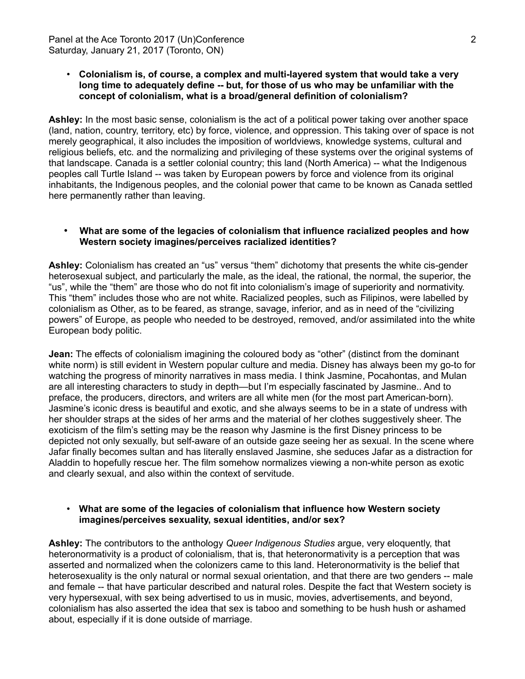## • **Colonialism is, of course, a complex and multi-layered system that would take a very long time to adequately define -- but, for those of us who may be unfamiliar with the concept of colonialism, what is a broad/general definition of colonialism?**

**Ashley:** In the most basic sense, colonialism is the act of a political power taking over another space (land, nation, country, territory, etc) by force, violence, and oppression. This taking over of space is not merely geographical, it also includes the imposition of worldviews, knowledge systems, cultural and religious beliefs, etc. and the normalizing and privileging of these systems over the original systems of that landscape. Canada is a settler colonial country; this land (North America) -- what the Indigenous peoples call Turtle Island -- was taken by European powers by force and violence from its original inhabitants, the Indigenous peoples, and the colonial power that came to be known as Canada settled here permanently rather than leaving.

## • **What are some of the legacies of colonialism that influence racialized peoples and how Western society imagines/perceives racialized identities?**

**Ashley:** Colonialism has created an "us" versus "them" dichotomy that presents the white cis-gender heterosexual subject, and particularly the male, as the ideal, the rational, the normal, the superior, the "us", while the "them" are those who do not fit into colonialism's image of superiority and normativity. This "them" includes those who are not white. Racialized peoples, such as Filipinos, were labelled by colonialism as Other, as to be feared, as strange, savage, inferior, and as in need of the "civilizing powers" of Europe, as people who needed to be destroyed, removed, and/or assimilated into the white European body politic.

**Jean:** The effects of colonialism imagining the coloured body as "other" (distinct from the dominant white norm) is still evident in Western popular culture and media. Disney has always been my go-to for watching the progress of minority narratives in mass media. I think Jasmine, Pocahontas, and Mulan are all interesting characters to study in depth—but I'm especially fascinated by Jasmine.. And to preface, the producers, directors, and writers are all white men (for the most part American-born). Jasmine's iconic dress is beautiful and exotic, and she always seems to be in a state of undress with her shoulder straps at the sides of her arms and the material of her clothes suggestively sheer. The exoticism of the film's setting may be the reason why Jasmine is the first Disney princess to be depicted not only sexually, but self-aware of an outside gaze seeing her as sexual. In the scene where Jafar finally becomes sultan and has literally enslaved Jasmine, she seduces Jafar as a distraction for Aladdin to hopefully rescue her. The film somehow normalizes viewing a non-white person as exotic and clearly sexual, and also within the context of servitude.

### • **What are some of the legacies of colonialism that influence how Western society imagines/perceives sexuality, sexual identities, and/or sex?**

**Ashley:** The contributors to the anthology *Queer Indigenous Studies* argue, very eloquently, that heteronormativity is a product of colonialism, that is, that heteronormativity is a perception that was asserted and normalized when the colonizers came to this land. Heteronormativity is the belief that heterosexuality is the only natural or normal sexual orientation, and that there are two genders -- male and female -- that have particular described and natural roles. Despite the fact that Western society is very hypersexual, with sex being advertised to us in music, movies, advertisements, and beyond, colonialism has also asserted the idea that sex is taboo and something to be hush hush or ashamed about, especially if it is done outside of marriage.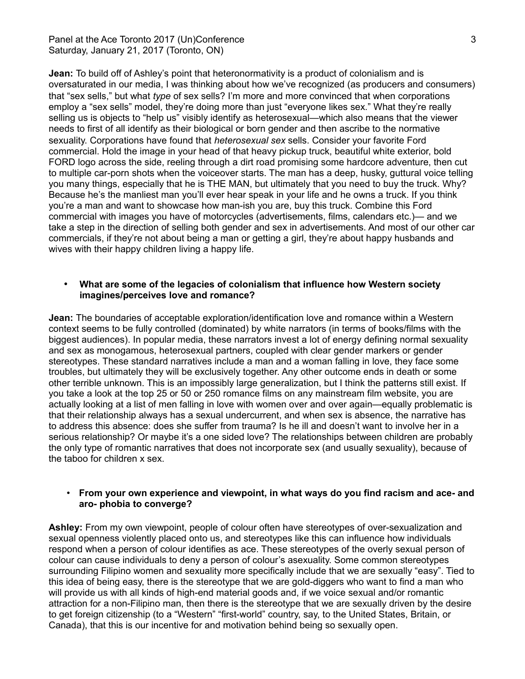## Panel at the Ace Toronto 2017 (Un)Conference 3 3 Saturday, January 21, 2017 (Toronto, ON)

**Jean:** To build off of Ashley's point that heteronormativity is a product of colonialism and is oversaturated in our media, I was thinking about how we've recognized (as producers and consumers) that "sex sells," but what *type* of sex sells? I'm more and more convinced that when corporations employ a "sex sells" model, they're doing more than just "everyone likes sex." What they're really selling us is objects to "help us" visibly identify as heterosexual—which also means that the viewer needs to first of all identify as their biological or born gender and then ascribe to the normative sexuality. Corporations have found that *heterosexual sex* sells. Consider your favorite Ford commercial. Hold the image in your head of that heavy pickup truck, beautiful white exterior, bold FORD logo across the side, reeling through a dirt road promising some hardcore adventure, then cut to multiple car-porn shots when the voiceover starts. The man has a deep, husky, guttural voice telling you many things, especially that he is THE MAN, but ultimately that you need to buy the truck. Why? Because he's the manliest man you'll ever hear speak in your life and he owns a truck. If you think you're a man and want to showcase how man-ish you are, buy this truck. Combine this Ford commercial with images you have of motorcycles (advertisements, films, calendars etc.)— and we take a step in the direction of selling both gender and sex in advertisements. And most of our other car commercials, if they're not about being a man or getting a girl, they're about happy husbands and wives with their happy children living a happy life.

## • **What are some of the legacies of colonialism that influence how Western society imagines/perceives love and romance?**

**Jean:** The boundaries of acceptable exploration/identification love and romance within a Western context seems to be fully controlled (dominated) by white narrators (in terms of books/films with the biggest audiences). In popular media, these narrators invest a lot of energy defining normal sexuality and sex as monogamous, heterosexual partners, coupled with clear gender markers or gender stereotypes. These standard narratives include a man and a woman falling in love, they face some troubles, but ultimately they will be exclusively together. Any other outcome ends in death or some other terrible unknown. This is an impossibly large generalization, but I think the patterns still exist. If you take a look at the top 25 or 50 or 250 romance films on any mainstream film website, you are actually looking at a list of men falling in love with women over and over again—equally problematic is that their relationship always has a sexual undercurrent, and when sex is absence, the narrative has to address this absence: does she suffer from trauma? Is he ill and doesn't want to involve her in a serious relationship? Or maybe it's a one sided love? The relationships between children are probably the only type of romantic narratives that does not incorporate sex (and usually sexuality), because of the taboo for children x sex.

## • **From your own experience and viewpoint, in what ways do you find racism and ace- and aro- phobia to converge?**

**Ashley:** From my own viewpoint, people of colour often have stereotypes of over-sexualization and sexual openness violently placed onto us, and stereotypes like this can influence how individuals respond when a person of colour identifies as ace. These stereotypes of the overly sexual person of colour can cause individuals to deny a person of colour's asexuality. Some common stereotypes surrounding Filipino women and sexuality more specifically include that we are sexually "easy". Tied to this idea of being easy, there is the stereotype that we are gold-diggers who want to find a man who will provide us with all kinds of high-end material goods and, if we voice sexual and/or romantic attraction for a non-Filipino man, then there is the stereotype that we are sexually driven by the desire to get foreign citizenship (to a "Western" "first-world" country, say, to the United States, Britain, or Canada), that this is our incentive for and motivation behind being so sexually open.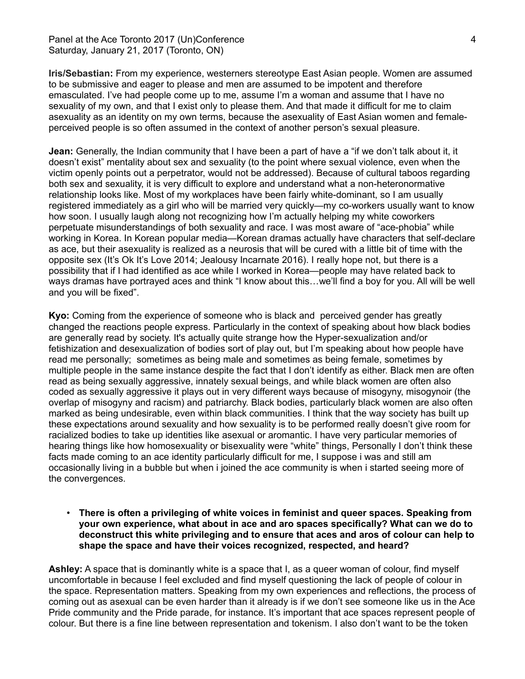Panel at the Ace Toronto 2017 (Un)Conference 4 Saturday, January 21, 2017 (Toronto, ON)

**Iris/Sebastian:** From my experience, westerners stereotype East Asian people. Women are assumed to be submissive and eager to please and men are assumed to be impotent and therefore emasculated. I've had people come up to me, assume I'm a woman and assume that I have no sexuality of my own, and that I exist only to please them. And that made it difficult for me to claim asexuality as an identity on my own terms, because the asexuality of East Asian women and femaleperceived people is so often assumed in the context of another person's sexual pleasure.

**Jean:** Generally, the Indian community that I have been a part of have a "if we don't talk about it, it doesn't exist" mentality about sex and sexuality (to the point where sexual violence, even when the victim openly points out a perpetrator, would not be addressed). Because of cultural taboos regarding both sex and sexuality, it is very difficult to explore and understand what a non-heteronormative relationship looks like. Most of my workplaces have been fairly white-dominant, so I am usually registered immediately as a girl who will be married very quickly—my co-workers usually want to know how soon. I usually laugh along not recognizing how I'm actually helping my white coworkers perpetuate misunderstandings of both sexuality and race. I was most aware of "ace-phobia" while working in Korea. In Korean popular media—Korean dramas actually have characters that self-declare as ace, but their asexuality is realized as a neurosis that will be cured with a little bit of time with the opposite sex (It's Ok It's Love 2014; Jealousy Incarnate 2016). I really hope not, but there is a possibility that if I had identified as ace while I worked in Korea—people may have related back to ways dramas have portrayed aces and think "I know about this…we'll find a boy for you. All will be well and you will be fixed".

**Kyo:** Coming from the experience of someone who is black and perceived gender has greatly changed the reactions people express. Particularly in the context of speaking about how black bodies are generally read by society. It's actually quite strange how the Hyper-sexualization and/or fetishization and desexualization of bodies sort of play out, but I'm speaking about how people have read me personally; sometimes as being male and sometimes as being female, sometimes by multiple people in the same instance despite the fact that I don't identify as either. Black men are often read as being sexually aggressive, innately sexual beings, and while black women are often also coded as sexually aggressive it plays out in very different ways because of misogyny, misogynoir (the overlap of misogyny and racism) and patriarchy. Black bodies, particularly black women are also often marked as being undesirable, even within black communities. I think that the way society has built up these expectations around sexuality and how sexuality is to be performed really doesn't give room for racialized bodies to take up identities like asexual or aromantic. I have very particular memories of hearing things like how homosexuality or bisexuality were "white" things, Personally I don't think these facts made coming to an ace identity particularly difficult for me, I suppose i was and still am occasionally living in a bubble but when i joined the ace community is when i started seeing more of the convergences.

• **There is often a privileging of white voices in feminist and queer spaces. Speaking from your own experience, what about in ace and aro spaces specifically? What can we do to deconstruct this white privileging and to ensure that aces and aros of colour can help to shape the space and have their voices recognized, respected, and heard?**

**Ashley:** A space that is dominantly white is a space that I, as a queer woman of colour, find myself uncomfortable in because I feel excluded and find myself questioning the lack of people of colour in the space. Representation matters. Speaking from my own experiences and reflections, the process of coming out as asexual can be even harder than it already is if we don't see someone like us in the Ace Pride community and the Pride parade, for instance. It's important that ace spaces represent people of colour. But there is a fine line between representation and tokenism. I also don't want to be the token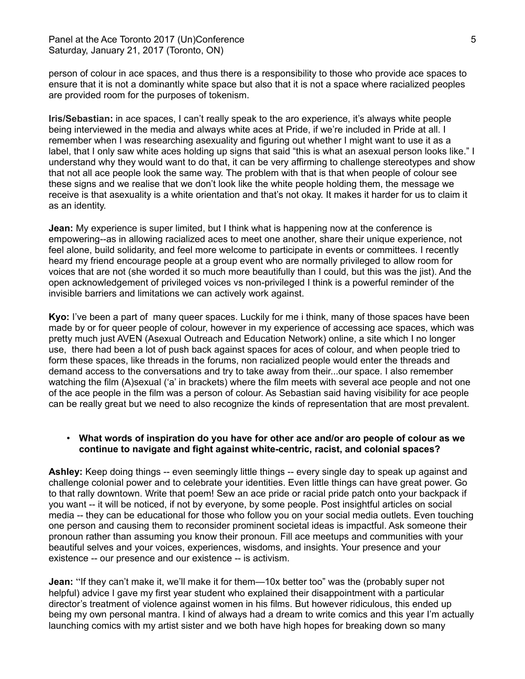person of colour in ace spaces, and thus there is a responsibility to those who provide ace spaces to ensure that it is not a dominantly white space but also that it is not a space where racialized peoples are provided room for the purposes of tokenism.

**Iris/Sebastian:** in ace spaces, I can't really speak to the aro experience, it's always white people being interviewed in the media and always white aces at Pride, if we're included in Pride at all. I remember when I was researching asexuality and figuring out whether I might want to use it as a label, that I only saw white aces holding up signs that said "this is what an asexual person looks like." I understand why they would want to do that, it can be very affirming to challenge stereotypes and show that not all ace people look the same way. The problem with that is that when people of colour see these signs and we realise that we don't look like the white people holding them, the message we receive is that asexuality is a white orientation and that's not okay. It makes it harder for us to claim it as an identity.

**Jean:** My experience is super limited, but I think what is happening now at the conference is empowering--as in allowing racialized aces to meet one another, share their unique experience, not feel alone, build solidarity, and feel more welcome to participate in events or committees. I recently heard my friend encourage people at a group event who are normally privileged to allow room for voices that are not (she worded it so much more beautifully than I could, but this was the jist). And the open acknowledgement of privileged voices vs non-privileged I think is a powerful reminder of the invisible barriers and limitations we can actively work against.

**Kyo:** I've been a part of many queer spaces. Luckily for me i think, many of those spaces have been made by or for queer people of colour, however in my experience of accessing ace spaces, which was pretty much just AVEN (Asexual Outreach and Education Network) online, a site which I no longer use, there had been a lot of push back against spaces for aces of colour, and when people tried to form these spaces, like threads in the forums, non racialized people would enter the threads and demand access to the conversations and try to take away from their...our space. I also remember watching the film (A)sexual ('a' in brackets) where the film meets with several ace people and not one of the ace people in the film was a person of colour. As Sebastian said having visibility for ace people can be really great but we need to also recognize the kinds of representation that are most prevalent.

## • **What words of inspiration do you have for other ace and/or aro people of colour as we continue to navigate and fight against white-centric, racist, and colonial spaces?**

**Ashley:** Keep doing things -- even seemingly little things -- every single day to speak up against and challenge colonial power and to celebrate your identities. Even little things can have great power. Go to that rally downtown. Write that poem! Sew an ace pride or racial pride patch onto your backpack if you want -- it will be noticed, if not by everyone, by some people. Post insightful articles on social media -- they can be educational for those who follow you on your social media outlets. Even touching one person and causing them to reconsider prominent societal ideas is impactful. Ask someone their pronoun rather than assuming you know their pronoun. Fill ace meetups and communities with your beautiful selves and your voices, experiences, wisdoms, and insights. Your presence and your existence -- our presence and our existence -- is activism.

**Jean:** "If they can't make it, we'll make it for them—10x better too" was the (probably super not helpful) advice I gave my first year student who explained their disappointment with a particular director's treatment of violence against women in his films. But however ridiculous, this ended up being my own personal mantra. I kind of always had a dream to write comics and this year I'm actually launching comics with my artist sister and we both have high hopes for breaking down so many